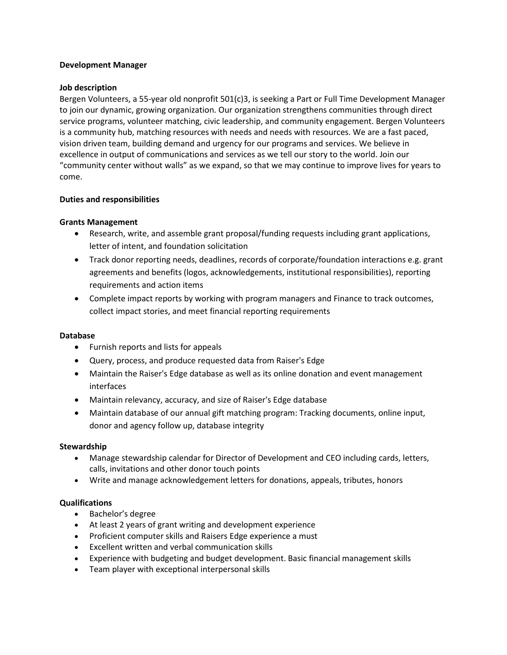### **Development Manager**

### **Job description**

Bergen Volunteers, a 55-year old nonprofit 501(c)3, is seeking a Part or Full Time Development Manager to join our dynamic, growing organization. Our organization strengthens communities through direct service programs, volunteer matching, civic leadership, and community engagement. Bergen Volunteers is a community hub, matching resources with needs and needs with resources. We are a fast paced, vision driven team, building demand and urgency for our programs and services. We believe in excellence in output of communications and services as we tell our story to the world. Join our "community center without walls" as we expand, so that we may continue to improve lives for years to come.

# **Duties and responsibilities**

# **Grants Management**

- Research, write, and assemble grant proposal/funding requests including grant applications, letter of intent, and foundation solicitation
- Track donor reporting needs, deadlines, records of corporate/foundation interactions e.g. grant agreements and benefits (logos, acknowledgements, institutional responsibilities), reporting requirements and action items
- Complete impact reports by working with program managers and Finance to track outcomes, collect impact stories, and meet financial reporting requirements

#### **Database**

- Furnish reports and lists for appeals
- Query, process, and produce requested data from Raiser's Edge
- Maintain the Raiser's Edge database as well as its online donation and event management interfaces
- Maintain relevancy, accuracy, and size of Raiser's Edge database
- Maintain database of our annual gift matching program: Tracking documents, online input, donor and agency follow up, database integrity

#### **Stewardship**

- Manage stewardship calendar for Director of Development and CEO including cards, letters, calls, invitations and other donor touch points
- Write and manage acknowledgement letters for donations, appeals, tributes, honors

# **Qualifications**

- Bachelor's degree
- At least 2 years of grant writing and development experience
- Proficient computer skills and Raisers Edge experience a must
- Excellent written and verbal communication skills
- Experience with budgeting and budget development. Basic financial management skills
- Team player with exceptional interpersonal skills